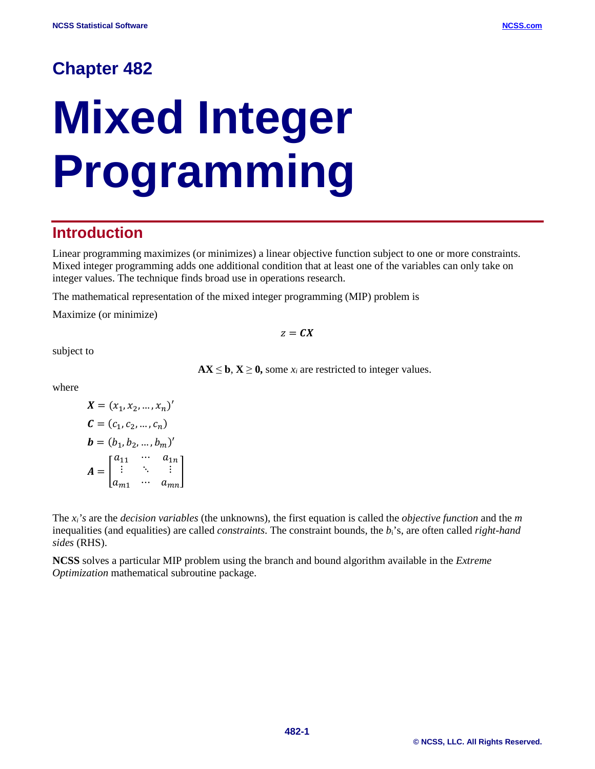# **Chapter 482**

# **Mixed Integer Programming**

# **Introduction**

Linear programming maximizes (or minimizes) a linear objective function subject to one or more constraints. Mixed integer programming adds one additional condition that at least one of the variables can only take on integer values. The technique finds broad use in operations research.

The mathematical representation of the mixed integer programming (MIP) problem is

Maximize (or minimize)

 $z = \mathbf{C}X$ 

subject to

 $AX \leq b$ ,  $X \geq 0$ , some  $x_i$  are restricted to integer values.

where

$$
X = (x_1, x_2, \dots, x_n)'
$$
  
\n
$$
C = (c_1, c_2, \dots, c_n)
$$
  
\n
$$
b = (b_1, b_2, \dots, b_m)'
$$
  
\n
$$
A = \begin{bmatrix} a_{11} & \cdots & a_{1n} \\ \vdots & \ddots & \vdots \\ a_{m1} & \cdots & a_{mn} \end{bmatrix}
$$

The *xi's* are the *decision variables* (the unknowns), the first equation is called the *objective function* and the *m* inequalities (and equalities) are called *constraints*. The constraint bounds, the *b*i's, are often called *right-hand sides* (RHS).

**NCSS** solves a particular MIP problem using the branch and bound algorithm available in the *Extreme Optimization* mathematical subroutine package.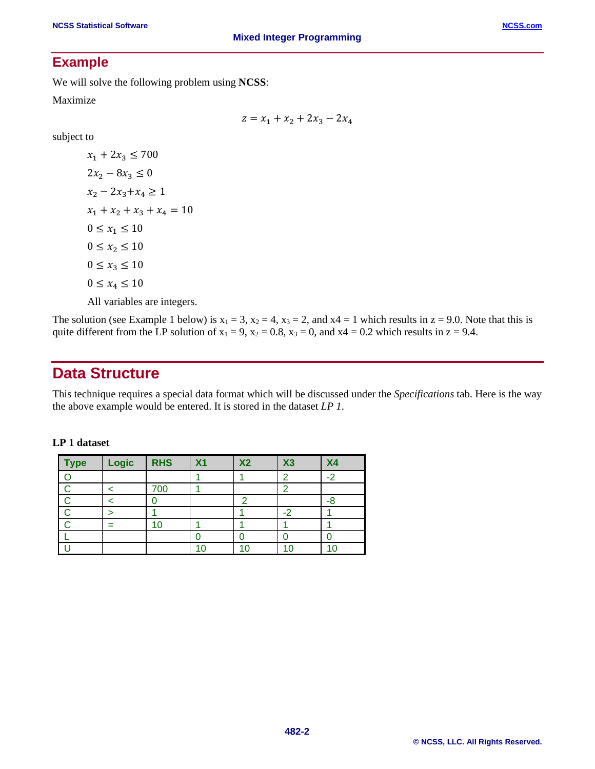## **Example**

We will solve the following problem using **NCSS**:

Maximize

 $z = x_1 + x_2 + 2x_3 - 2x_4$ 

subject to

 $x_1 + 2x_3 \le 700$  $2x_2 - 8x_3 \leq 0$  $x_2 - 2x_3 + x_4 \ge 1$  $x_1 + x_2 + x_3 + x_4 = 10$  $0 \le x_1 \le 10$  $0 \le x_2 \le 10$  $0 \le x_3 \le 10$  $0 \le x_4 \le 10$ All variables are integers.

The solution (see Example 1 below) is  $x_1 = 3$ ,  $x_2 = 4$ ,  $x_3 = 2$ , and  $x_4 = 1$  which results in  $z = 9.0$ . Note that this is quite different from the LP solution of  $x_1 = 9$ ,  $x_2 = 0.8$ ,  $x_3 = 0$ , and  $x_4 = 0.2$  which results in  $z = 9.4$ .

## **Data Structure**

This technique requires a special data format which will be discussed under the *Specifications* tab. Here is the way the above example would be entered. It is stored in the dataset *LP 1*.

| Type | Logic | <b>RHS</b> | X <sub>1</sub> | X <sub>2</sub> | X3   | X <sub>4</sub> |
|------|-------|------------|----------------|----------------|------|----------------|
|      |       |            |                |                |      |                |
|      |       | 700        |                |                |      |                |
|      |       |            |                |                |      |                |
|      |       |            |                |                | $-2$ |                |
|      |       |            |                |                |      |                |
|      |       |            |                |                |      |                |
|      |       |            |                | 1 በ            |      |                |

## **LP 1 dataset**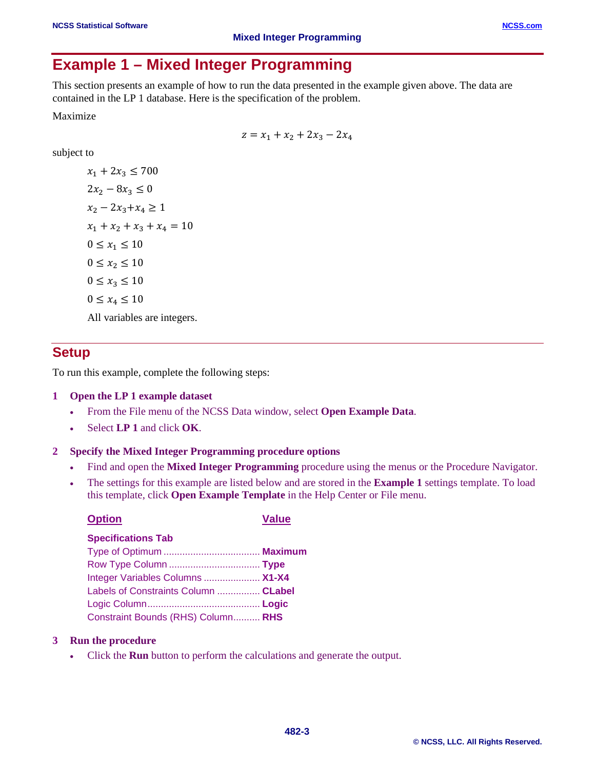## **Example 1 – Mixed Integer Programming**

This section presents an example of how to run the data presented in the example given above. The data are contained in the LP 1 database. Here is the specification of the problem.

Maximize

 $z = x_1 + x_2 + 2x_3 - 2x_4$ 

subject to

 $x_1 + 2x_3 \le 700$  $2x_2 - 8x_3 \leq 0$  $x_2 - 2x_3 + x_4 \ge 1$  $x_1 + x_2 + x_3 + x_4 = 10$  $0 \le x_1 \le 10$  $0 \le x_2 \le 10$  $0 \le x_3 \le 10$  $0 \le x_4 \le 10$ All variables are integers.

## **Setup**

To run this example, complete the following steps:

## **1 Open the LP 1 example dataset**

- From the File menu of the NCSS Data window, select **Open Example Data**.
- Select **LP 1** and click **OK**.

## **2 Specify the Mixed Integer Programming procedure options**

- Find and open the **Mixed Integer Programming** procedure using the menus or the Procedure Navigator.
- The settings for this example are listed below and are stored in the **Example 1** settings template. To load this template, click **Open Example Template** in the Help Center or File menu.

| <b>Option</b>                        | <b>Value</b> |
|--------------------------------------|--------------|
| <b>Specifications Tab</b>            |              |
|                                      |              |
|                                      |              |
| Integer Variables Columns  X1-X4     |              |
| Labels of Constraints Column  CLabel |              |
|                                      |              |
| Constraint Bounds (RHS) Column RHS   |              |

#### **3 Run the procedure**

• Click the **Run** button to perform the calculations and generate the output.